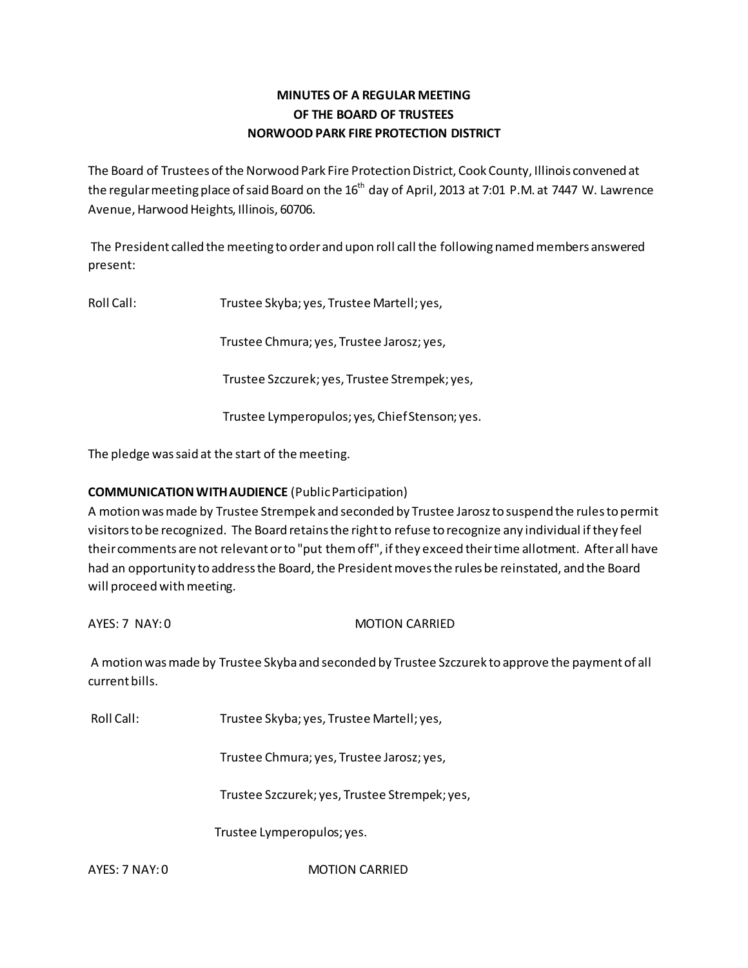# **MINUTES OF A REGULAR MEETING OF THE BOARD OF TRUSTEES NORWOOD PARK FIRE PROTECTION DISTRICT**

The Board of Trustees of the Norwood Park Fire Protection District, Cook County, Illinois convened at the regular meeting place of said Board on the  $16<sup>th</sup>$  day of April, 2013 at 7:01 P.M. at 7447 W. Lawrence Avenue, Harwood Heights, Illinois, 60706.

 The President called the meeting to order and upon roll call the following named members answered present:

Roll Call: Trustee Skyba; yes, Trustee Martell; yes,

Trustee Chmura; yes, Trustee Jarosz; yes,

Trustee Szczurek; yes, Trustee Strempek; yes,

Trustee Lymperopulos; yes, Chief Stenson; yes.

The pledge was said at the start of the meeting.

# **COMMUNICATION WITH AUDIENCE** (Public Participation)

A motion was made by Trustee Strempek and seconded by Trustee Jarosz to suspend the rules to permit visitors to be recognized. The Board retains the right to refuse to recognize any individual if they feel their comments are not relevant or to "put them off", if they exceed their time allotment. After all have had an opportunity to address the Board, the President moves the rules be reinstated, and the Board will proceed with meeting.

AYES: 7 NAY: 0 MOTION CARRIED

 A motion was made by Trustee Skyba and seconded by Trustee Szczurek to approve the payment of all current bills.

Roll Call: Trustee Skyba; yes, Trustee Martell; yes,

Trustee Chmura; yes, Trustee Jarosz; yes,

Trustee Szczurek; yes, Trustee Strempek; yes,

Trustee Lymperopulos; yes.

AYES: 7 NAY: 0 MOTION CARRIED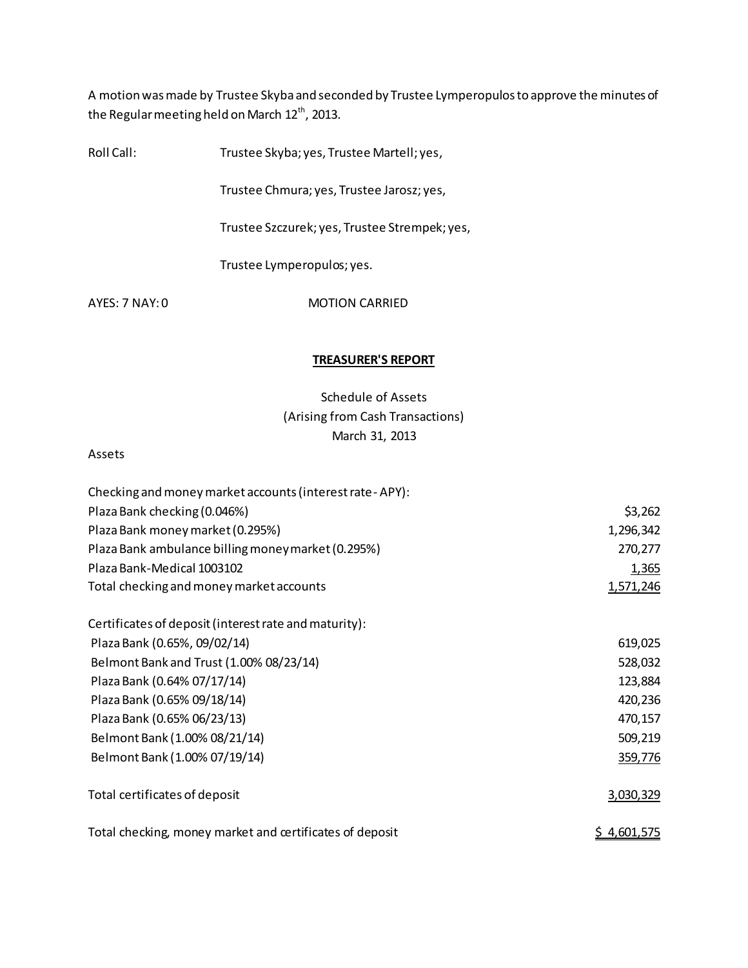A motion was made by Trustee Skyba and seconded by Trustee Lymperopulos to approve the minutes of the Regular meeting held on March  $12^{th}$ , 2013.

Roll Call: Trustee Skyba; yes, Trustee Martell; yes,

Trustee Chmura; yes, Trustee Jarosz; yes,

Trustee Szczurek; yes, Trustee Strempek; yes,

Trustee Lymperopulos; yes.

AYES: 7 NAY: 0 MOTION CARRIED

### **TREASURER'S REPORT**

Schedule of Assets (Arising from Cash Transactions) March 31, 2013

#### Assets

| Checking and money market accounts (interest rate - APY): |                    |
|-----------------------------------------------------------|--------------------|
| Plaza Bank checking (0.046%)                              | \$3,262            |
| Plaza Bank money market (0.295%)                          | 1,296,342          |
| Plaza Bank ambulance billing money market (0.295%)        | 270,277            |
| Plaza Bank-Medical 1003102                                | 1,365              |
| Total checking and money market accounts                  | 1,571,246          |
| Certificates of deposit (interest rate and maturity):     |                    |
| Plaza Bank (0.65%, 09/02/14)                              | 619,025            |
| Belmont Bank and Trust (1.00% 08/23/14)                   | 528,032            |
| Plaza Bank (0.64% 07/17/14)                               | 123,884            |
| Plaza Bank (0.65% 09/18/14)                               | 420,236            |
| Plaza Bank (0.65% 06/23/13)                               | 470,157            |
| Belmont Bank (1.00% 08/21/14)                             | 509,219            |
| Belmont Bank (1.00% 07/19/14)                             | 359,776            |
| Total certificates of deposit                             | 3,030,329          |
| Total checking, money market and certificates of deposit  | <u>\$4,601,575</u> |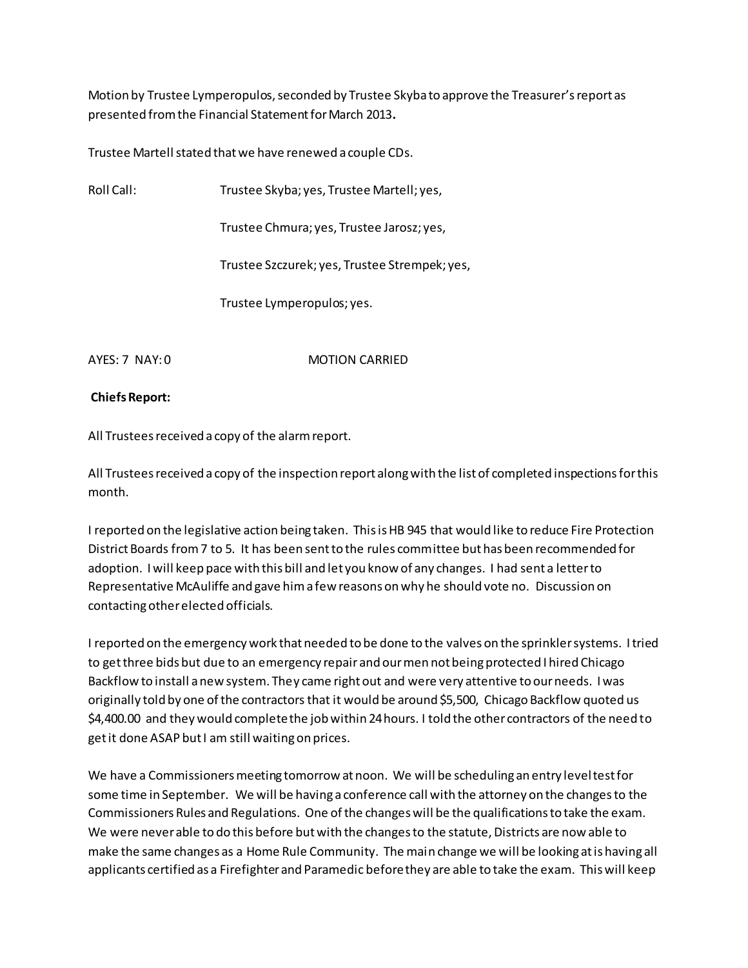Motion by Trustee Lymperopulos, seconded by Trustee Skyba to approve the Treasurer's report as presented from the Financial Statement for March 2013**.** 

Trustee Martell stated that we have renewed a couple CDs.

Roll Call: Trustee Skyba; yes, Trustee Martell; yes,

Trustee Chmura; yes, Trustee Jarosz; yes,

Trustee Szczurek; yes, Trustee Strempek; yes,

Trustee Lymperopulos; yes.

AYES: 7 NAY: 0 MOTION CARRIED

### **Chiefs Report:**

All Trustees received a copy of the alarm report.

All Trustees received a copy of the inspection report along with the list of completed inspections for this month.

I reported on the legislative action being taken. This is HB 945 that would like to reduce Fire Protection District Boards from 7 to 5. It has been sent to the rules committee but has been recommended for adoption. I will keep pace with this bill and let you know of any changes. I had sent a letter to Representative McAuliffe and gave him a few reasons on why he should vote no. Discussion on contacting other elected officials.

I reported on the emergency work that needed to be done to the valves on the sprinkler systems. I tried to get three bids but due to an emergency repair and our men not being protected I hired Chicago Backflow to install a new system. They came right out and were very attentive to our needs. I was originally told by one of the contractors that it would be around \$5,500, Chicago Backflow quoted us \$4,400.00 and they would complete the job within 24 hours. I told the other contractors of the need to get it done ASAP but I am still waiting on prices.

We have a Commissioners meeting tomorrow at noon. We will be scheduling an entry level test for some time in September. We will be having a conference call with the attorney on the changes to the Commissioners Rules and Regulations. One of the changes will be the qualifications to take the exam. We were never able to do this before but with the changes to the statute, Districts are now able to make the same changes as a Home Rule Community. The main change we will be looking at is having all applicants certified as a Firefighter and Paramedic before they are able to take the exam. This will keep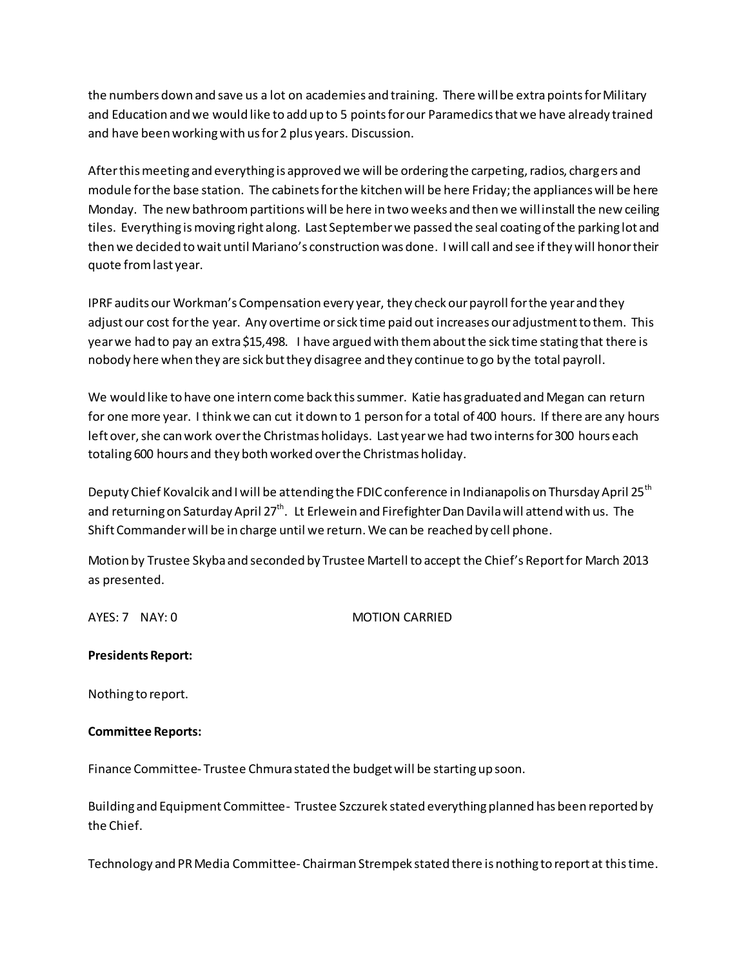the numbers down and save us a lot on academies and training. There will be extra points for Military and Education and we would like to add up to 5 points for our Paramedics that we have already trained and have been working with us for 2 plus years. Discussion.

After this meeting and everything is approved we will be ordering the carpeting, radios, chargers and module for the base station. The cabinets for the kitchen will be here Friday; the appliances will be here Monday. The new bathroom partitions will be here in two weeks and then we will install the new ceiling tiles. Everything is moving right along. Last September we passed the seal coating of the parking lot and then we decided to wait until Mariano's construction was done. I will call and see if they will honor their quote from last year.

IPRF audits our Workman's Compensation every year, they check our payroll for the year and they adjust our cost for the year. Any overtime or sick time paid out increases our adjustment to them. This year we had to pay an extra \$15,498. I have argued with them about the sick time stating that there is nobody here when they are sick but they disagree and they continue to go by the total payroll.

We would like to have one intern come back this summer. Katie has graduated and Megan can return for one more year. I think we can cut it down to 1 person for a total of 400 hours. If there are any hours left over, she can work over the Christmas holidays. Last year we had two interns for 300 hours each totaling 600 hours and they both worked over the Christmas holiday.

Deputy Chief Kovalcik and I will be attending the FDIC conference in Indianapolis on Thursday April 25<sup>th</sup> and returning on Saturday April  $27<sup>th</sup>$ . Lt Erlewein and Firefighter Dan Davila will attend with us. The Shift Commander will be in charge until we return. We can be reached by cell phone.

Motion by Trustee Skyba and seconded by Trustee Martell to accept the Chief's Report for March 2013 as presented.

AYES: 7 NAY: 0 MOTION CARRIED

# **Presidents Report:**

Nothing to report.

# **Committee Reports:**

Finance Committee- Trustee Chmura stated the budget will be starting up soon.

Building and Equipment Committee- Trustee Szczurek stated everything planned has been reported by the Chief.

Technology and PR Media Committee- Chairman Strempek stated there is nothing to report at this time.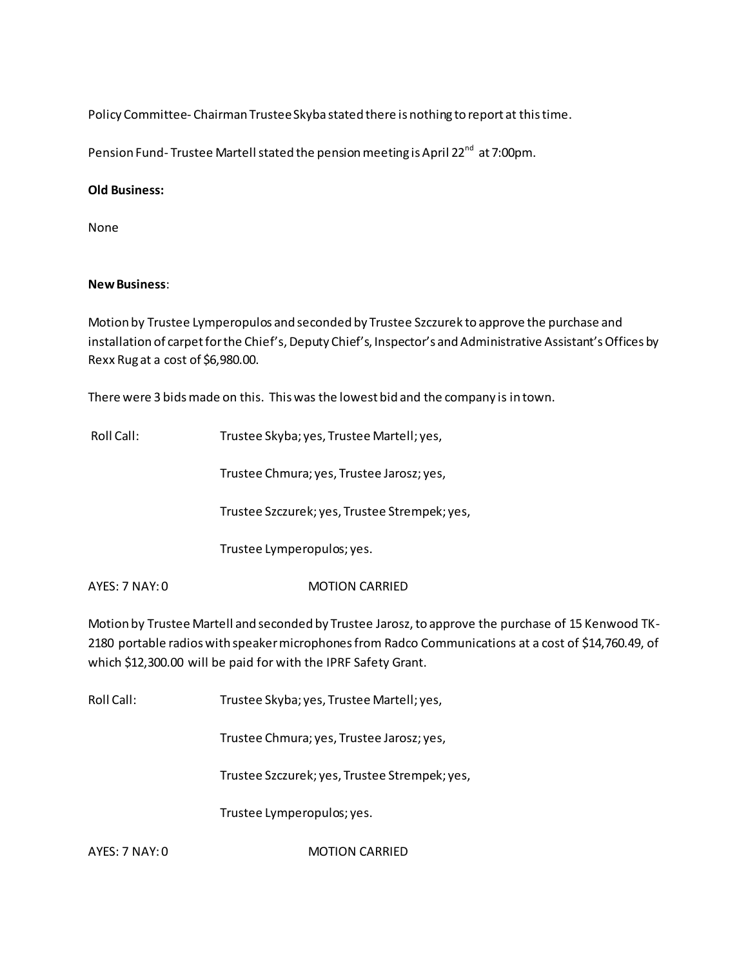Policy Committee- Chairman Trustee Skyba stated there is nothing to report at this time.

Pension Fund- Trustee Martell stated the pension meeting is April 22<sup>nd</sup> at 7:00pm.

#### **Old Business:**

None

### **New Business**:

Motion by Trustee Lymperopulos and seconded by Trustee Szczurek to approve the purchase and installation of carpet for the Chief's, Deputy Chief's, Inspector's and Administrative Assistant's Offices by Rexx Rug at a cost of \$6,980.00.

There were 3 bids made on this. This was the lowest bid and the company is in town.

| Roll Call: | Trustee Skyba; yes, Trustee Martell; yes, |
|------------|-------------------------------------------|
|            |                                           |

Trustee Chmura; yes, Trustee Jarosz; yes,

Trustee Szczurek; yes, Trustee Strempek; yes,

Trustee Lymperopulos; yes.

AYES: 7 NAY: 0 MOTION CARRIED

Motion by Trustee Martell and seconded by Trustee Jarosz, to approve the purchase of 15 Kenwood TK-2180 portable radios with speaker microphones from Radco Communications at a cost of \$14,760.49, of which \$12,300.00 will be paid for with the IPRF Safety Grant.

Roll Call: Trustee Skyba; yes, Trustee Martell; yes,

Trustee Chmura; yes, Trustee Jarosz; yes,

Trustee Szczurek; yes, Trustee Strempek; yes,

Trustee Lymperopulos; yes.

AYES: 7 NAY: 0 MOTION CARRIED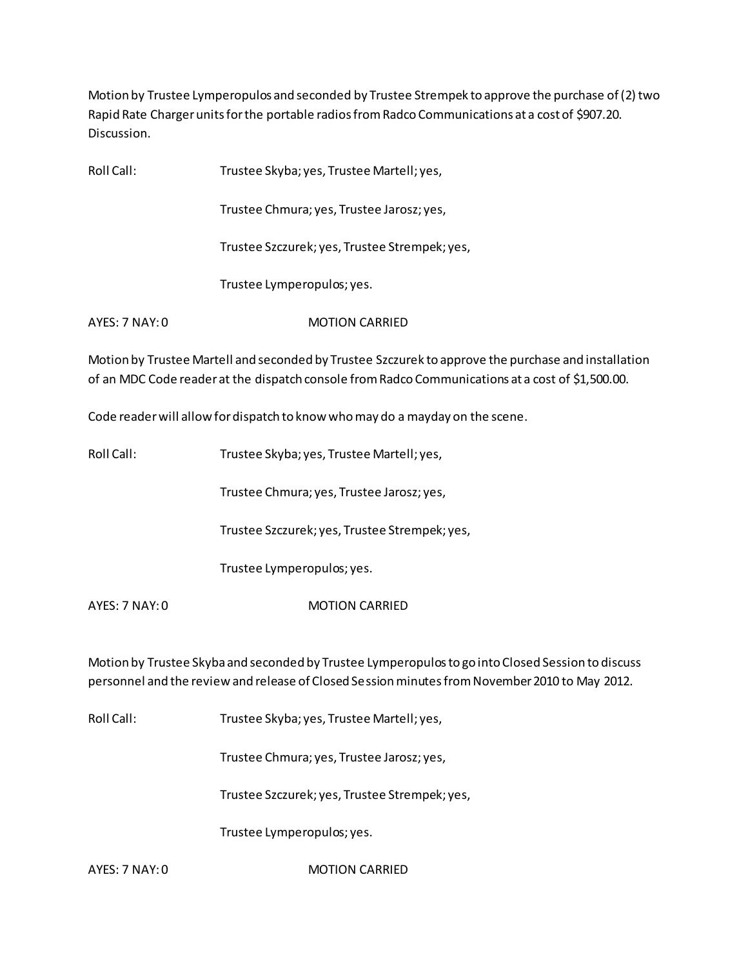Motion by Trustee Lymperopulos and seconded by Trustee Strempek to approve the purchase of (2) two Rapid Rate Charger units for the portable radios from Radco Communications at a cost of \$907.20. Discussion.

| Roll Call:     | Trustee Skyba; yes, Trustee Martell; yes,     |  |
|----------------|-----------------------------------------------|--|
|                | Trustee Chmura; yes, Trustee Jarosz; yes,     |  |
|                | Trustee Szczurek; yes, Trustee Strempek; yes, |  |
|                | Trustee Lymperopulos; yes.                    |  |
| AYFS: 7 NAY: 0 | <b>MOTION CARRIFD</b>                         |  |

Motion by Trustee Martell and seconded by Trustee Szczurek to approve the purchase and installation of an MDC Code reader at the dispatch console from Radco Communications at a cost of \$1,500.00.

Code reader will allow for dispatch to know who may do a mayday on the scene.

| Roll Call:     | Trustee Skyba; yes, Trustee Martell; yes,     |
|----------------|-----------------------------------------------|
|                | Trustee Chmura; yes, Trustee Jarosz; yes,     |
|                | Trustee Szczurek; yes, Trustee Strempek; yes, |
|                | Trustee Lymperopulos; yes.                    |
| AYES: 7 NAY: 0 | <b>MOTION CARRIFD</b>                         |
|                |                                               |

Motion by Trustee Skyba and seconded by Trustee Lymperopulos to go into Closed Session to discuss personnel and the review and release of Closed Session minutes from November 2010 to May 2012.

Roll Call: Trustee Skyba; yes, Trustee Martell; yes,

Trustee Chmura; yes, Trustee Jarosz; yes,

Trustee Szczurek; yes, Trustee Strempek; yes,

Trustee Lymperopulos; yes.

AYES: 7 NAY: 0 MOTION CARRIED